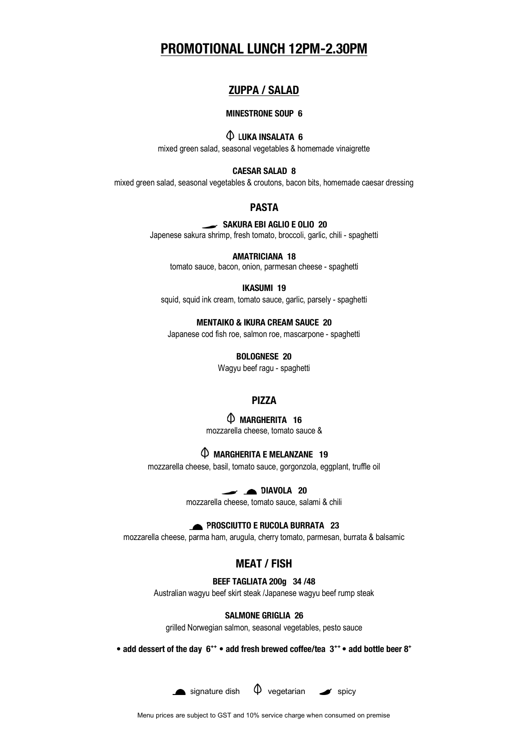# **PROMOTIONAL LUNCH 12PM-2.30PM**

## **ZUPPA / SALAD**

### **MINESTRONE SOUP 6**

# **LUKA INSALATA 6**

mixed green salad, seasonal vegetables & homemade vinaigrette

## **CAESAR SALAD 8**

mixed green salad, seasonal vegetables & croutons, bacon bits, homemade caesar dressing

#### **PASTA**

## **SAKURA EBI AGLIO E OLIO 20**

Japenese sakura shrimp, fresh tomato, broccoli, garlic, chili - spaghetti

#### **AMATRICIANA 18**

tomato sauce, bacon, onion, parmesan cheese - spaghetti

### **IKASUMI 19**

squid, squid ink cream, tomato sauce, garlic, parsely - spaghetti

#### **MENTAIKO & IKURA CREAM SAUCE 20**

Japanese cod fish roe, salmon roe, mascarpone - spaghetti

**BOLOGNESE 20**

Wagyu beef ragu - spaghetti

## **PIZZA**

## **MARGHERITA 16**

mozzarella cheese, tomato sauce &

## **MARGHERITA E MELANZANE 19**

mozzarella cheese, basil, tomato sauce, gorgonzola, eggplant, truffle oil

**DIAVOLA 20**

mozzarella cheese, tomato sauce, salami & chili

## **PROSCIUTTO E RUCOLA BURRATA 23**

mozzarella cheese, parma ham, arugula, cherry tomato, parmesan, burrata & balsamic

## **MEAT / FISH**

**BEEF TAGLIATA 200g 34 /48**

Australian wagyu beef skirt steak /Japanese wagyu beef rump steak

#### **SALMONE GRIGLIA 26**

grilled Norwegian salmon, seasonal vegetables, pesto sauce

**• add dessert of the day 6++ • add fresh brewed coffee/tea 3++ • add bottle beer 8+**





Menu prices are subject to GST and 10% service charge when consumed on premise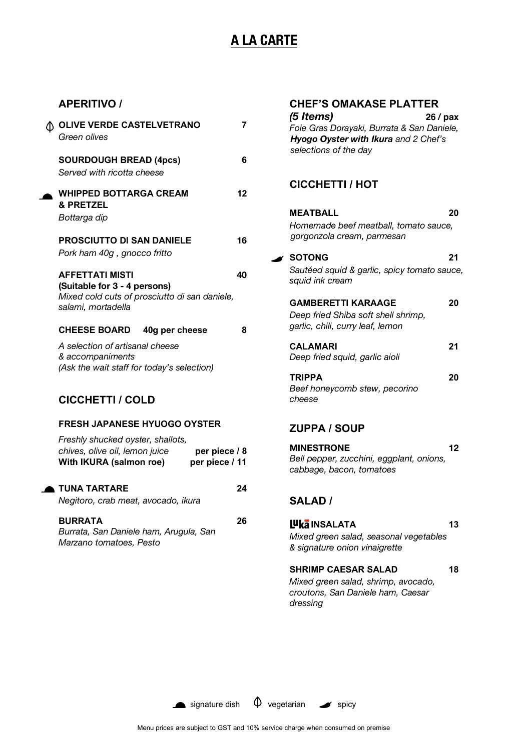# **A LA CARTE**

## **APERITIVO /**

| <b>1 OLIVE VERDE CASTELVETRANO</b><br>Green olives                                                                                | 7  |
|-----------------------------------------------------------------------------------------------------------------------------------|----|
| <b>SOURDOUGH BREAD (4pcs)</b><br>Served with ricotta cheese                                                                       | 6  |
| <b>WHIPPED BOTTARGA CREAM</b><br>& PRETZEL<br>Bottarga dip                                                                        | 12 |
| <b>PROSCIUTTO DI SAN DANIELE</b><br>Pork ham 40g, gnocco fritto                                                                   | 16 |
| <b>AFFETTATI MISTI</b><br>(Suitable for 3 - 4 persons)<br>Mixed cold cuts of prosciutto di san daniele,<br>salami, mortadella     | 40 |
| <b>CHEESE BOARD</b><br>40g per cheese                                                                                             | 8  |
| A selection of artisanal cheese<br>& accompaniments<br>(Ask the wait staff for today's selection)                                 |    |
| <b>CICCHETTI / COLD</b>                                                                                                           |    |
| <b>FRESH JAPANESE HYUOGO OYSTER</b>                                                                                               |    |
| Freshly shucked oyster, shallots,<br>chives, olive oil, lemon juice<br>per piece / 8<br>With IKURA (salmon roe)<br>per piece / 11 |    |

**TUNA TARTARE 24**  *Negitoro, crab meat, avocado, ikura*

**BURRATA 26**  *Burrata, San Daniele ham, Arugula, San Marzano tomatoes, Pesto*

| <b>CHEF'S OMAKASE PLATTER</b><br>(5 Items)<br>26 / pax<br>Foie Gras Dorayaki, Burrata & San Daniele,<br>Hyogo Oyster with Ikura and 2 Chef's<br>selections of the day |    |
|-----------------------------------------------------------------------------------------------------------------------------------------------------------------------|----|
| <b>CICCHETTI / HOT</b>                                                                                                                                                |    |
| <b>MEATBALL</b><br>Homemade beef meatball, tomato sauce,<br>gorgonzola cream, parmesan                                                                                | 20 |
| <b>SOTONG</b><br>Sautéed squid & garlic, spicy tomato sauce,<br>squid ink cream                                                                                       | 21 |
| <b>GAMBERETTI KARAAGE</b><br>Deep fried Shiba soft shell shrimp,<br>garlic, chili, curry leaf, lemon                                                                  | 20 |
| <b>CALAMARI</b><br>Deep fried squid, garlic aioli                                                                                                                     | 21 |
| <b>TRIPPA</b><br>Beef honeycomb stew, pecorino<br>cheese                                                                                                              | 20 |
| <b>ZUPPA / SOUP</b>                                                                                                                                                   |    |
| <b>MINESTRONE</b><br>Bell pepper, zucchini, eggplant, onions,<br>cabbage, bacon, tomatoes                                                                             | 12 |

## **SALAD /**

 **INSALATA 13**  *Mixed green salad, seasonal vegetables & signature onion vinaigrette*

# **SHRIMP CAESAR SALAD 18**

*Mixed green salad, shrimp, avocado, croutons, San Daniele ham, Caesar dressing*



Menu prices are subject to GST and 10% service charge when consumed on premise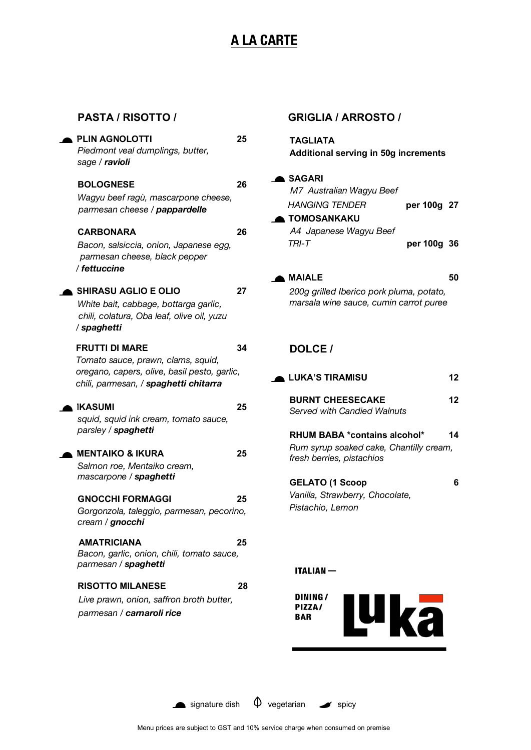# **A LA CARTE**

## **PASTA / RISOTTO /**

| <b>PLIN AGNOLOTTI</b><br>Piedmont veal dumplings, butter,<br>sage / ravioli                                                                          | 25 |
|------------------------------------------------------------------------------------------------------------------------------------------------------|----|
| <b>BOLOGNESE</b><br>Wagyu beef ragù, mascarpone cheese,<br>parmesan cheese / pappardelle                                                             | 26 |
| <b>CARBONARA</b><br>Bacon, salsiccia, onion, Japanese egg,<br>parmesan cheese, black pepper<br>/ fettuccine                                          | 26 |
| <b>SHIRASU AGLIO E OLIO</b><br>White bait, cabbage, bottarga garlic,<br>chili, colatura, Oba leaf, olive oil, yuzu<br>/ spaghetti                    | 27 |
| <b>FRUTTI DI MARE</b><br>Tomato sauce, prawn, clams, squid,<br>oregano, capers, olive, basil pesto, garlic,<br>chili, parmesan, / spaghetti chitarra | 34 |
| <b>IKASUMI</b><br>squid, squid ink cream, tomato sauce,<br>parsley / spaghetti                                                                       | 25 |
| <b>MENTAIKO &amp; IKURA</b><br>Salmon roe, Mentaiko cream,<br>mascarpone / spaghetti                                                                 | 25 |
| <b>GNOCCHI FORMAGGI</b><br>Gorgonzola, taleggio, parmesan, pecorino,<br>cream / gnocchi                                                              | 25 |
| <b>AMATRICIANA</b><br>Bacon, garlic, onion, chili, tomato sauce,<br>parmesan / spaghetti                                                             | 25 |
| <b>RISOTTO MILANESE</b><br>Live prawn, onion, saffron broth butter,<br>parmesan / carnaroli rice                                                     | 28 |

## **GRIGLIA / ARROSTO /**

**TAGLIATA Additional serving in 50g increments**

### **SAGARI**

| M7 Australian Wagyu Beef |             |  |
|--------------------------|-------------|--|
| <b>HANGING TENDER</b>    | per 100g 27 |  |
| <b>A TOMOSANKAKU</b>     |             |  |
| A4 Japanese Wagyu Beef   |             |  |
| TRI-T                    | per 100g 36 |  |

# **MAIALE 50**

*200g grilled Iberico pork pluma, potato, marsala wine sauce, cumin carrot puree*

## **DOLCE /**

| <b>LUKA'S TIRAMISU</b>                                                                               | 12 |
|------------------------------------------------------------------------------------------------------|----|
| <b>BURNT CHEESECAKE</b><br><b>Served with Candied Walnuts</b>                                        | 12 |
| RHUM BABA *contains alcohol*<br>Rum syrup soaked cake, Chantilly cream,<br>fresh berries, pistachios | 14 |
| <b>GELATO (1 Scoop</b>                                                                               |    |

*Vanilla, Strawberry, Chocolate, Pistachio, Lemon*

## **ITALIAN-**



signature dish  $\phi$  vegetarian spicy